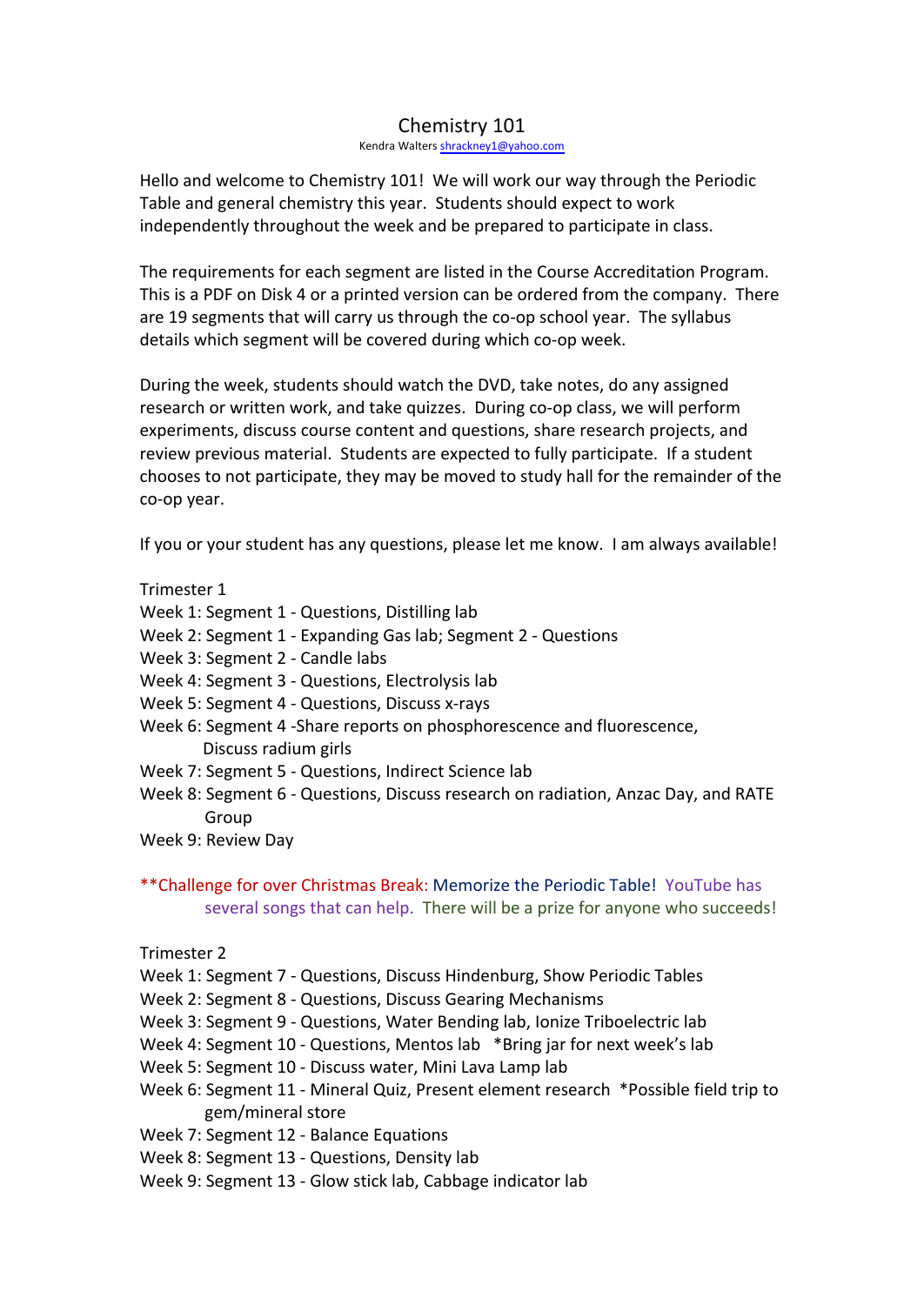## Chemistry 101

Kendra Walters shrackney1@yahoo.com

Hello and welcome to Chemistry 101! We will work our way through the Periodic Table and general chemistry this year. Students should expect to work independently throughout the week and be prepared to participate in class.

The requirements for each segment are listed in the Course Accreditation Program. This is a PDF on Disk 4 or a printed version can be ordered from the company. There are 19 segments that will carry us through the co-op school year. The syllabus details which segment will be covered during which co-op week.

During the week, students should watch the DVD, take notes, do any assigned research or written work, and take quizzes. During co-op class, we will perform experiments, discuss course content and questions, share research projects, and review previous material. Students are expected to fully participate. If a student chooses to not participate, they may be moved to study hall for the remainder of the co-op year.

If you or your student has any questions, please let me know. I am always available!

## Trimester 1

- Week 1: Segment 1 Questions, Distilling lab
- Week 2: Segment 1 Expanding Gas lab; Segment 2 Questions
- Week 3: Segment 2 Candle labs
- Week 4: Segment 3 Questions, Electrolysis lab
- Week 5: Segment 4 Questions, Discuss x-rays
- Week 6: Segment 4 -Share reports on phosphorescence and fluorescence, Discuss radium girls
- Week 7: Segment 5 Questions, Indirect Science lab
- Week 8: Segment 6 Questions, Discuss research on radiation, Anzac Day, and RATE Group
- Week 9: Review Day
- \*\*Challenge for over Christmas Break: Memorize the Periodic Table! YouTube has several songs that can help. There will be a prize for anyone who succeeds!
- Trimester 2
- Week 1: Segment 7 Questions, Discuss Hindenburg, Show Periodic Tables
- Week 2: Segment 8 Questions, Discuss Gearing Mechanisms
- Week 3: Segment 9 Questions, Water Bending lab, Ionize Triboelectric lab
- Week 4: Segment 10 Questions, Mentos lab \*Bring jar for next week's lab
- Week 5: Segment 10 Discuss water, Mini Lava Lamp lab
- Week 6: Segment 11 Mineral Quiz, Present element research \*Possible field trip to gem/mineral store
- Week 7: Segment 12 Balance Equations
- Week 8: Segment 13 Questions, Density lab
- Week 9: Segment 13 Glow stick lab, Cabbage indicator lab